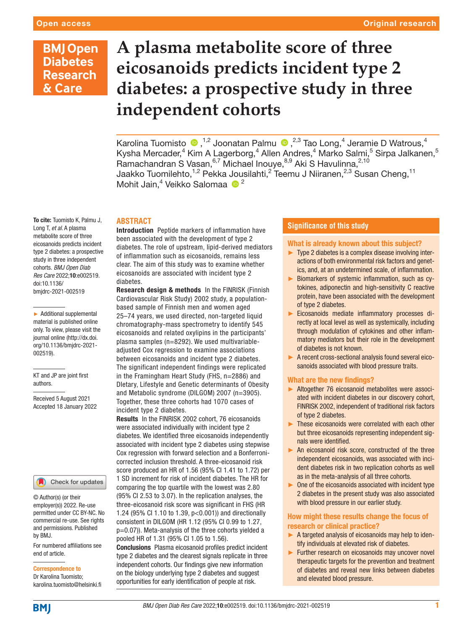## **BMJ Open Diabetes Research** & Care

# **A plasma metabolite score of three eicosanoids predicts incident type 2 diabetes: a prospective study in three independent cohorts**

KarolinaTuomisto  $\bigcirc$ ,<sup>1,2</sup> Joonatan Palmu  $\bigcirc$ ,<sup>2,3</sup> Tao Long,<sup>4</sup> Jeramie D Watrous,<sup>4</sup> Kysha Mercader,<sup>4</sup> Kim A Lagerborg,<sup>4</sup> Allen Andres,<sup>4</sup> Marko Salmi,<sup>5</sup> Sirpa Jalkanen,<sup>5</sup> Ramachandran S Vasan, <sup>6,7</sup> Michael Inouye, <sup>8,9</sup> Aki S Havulinna, <sup>2,10</sup> Jaakko Tuomilehto,<sup>1,2</sup> Pekka Jousilahti,<sup>2</sup> Teemu J Niiranen,<sup>2,3</sup> Susan Cheng,<sup>11</sup> Mohit Jain,<sup>4</sup> Veikko Salomaa <sup>10</sup><sup>2</sup>

#### **ABSTRACT**

To cite: Tuomisto K, Palmu J, Long T, *et al*. A plasma metabolite score of three eicosanoids predicts incident type 2 diabetes: a prospective study in three independent cohorts. *BMJ Open Diab Res Care* 2022;10:e002519. doi:10.1136/ bmjdrc-2021-002519

► Additional supplemental material is published online only. To view, please visit the journal online ([http://dx.doi.](http://dx.doi.org/10.1136/bmjdrc-2021-002519) [org/10.1136/bmjdrc-2021-](http://dx.doi.org/10.1136/bmjdrc-2021-002519) [002519](http://dx.doi.org/10.1136/bmjdrc-2021-002519)).

KT and JP are joint first authors.

Received 5 August 2021 Accepted 18 January 2022

#### Check for updates

© Author(s) (or their employer(s)) 2022. Re-use permitted under CC BY-NC. No commercial re-use. See rights and permissions. Published by BMJ.

For numbered affiliations see end of article.

Correspondence to

Dr Karolina Tuomisto; karolina.tuomisto@helsinki.fi Introduction Peptide markers of inflammation have been associated with the development of type 2 diabetes. The role of upstream, lipid-derived mediators of inflammation such as eicosanoids, remains less clear. The aim of this study was to examine whether eicosanoids are associated with incident type 2 diabetes.

Research design & methods In the FINRISK (Finnish Cardiovascular Risk Study) 2002 study, a populationbased sample of Finnish men and women aged 25–74 years, we used directed, non-targeted liquid chromatography-mass spectrometry to identify 545 eicosanoids and related oxylipins in the participants' plasma samples (n=8292). We used multivariableadjusted Cox regression to examine associations between eicosanoids and incident type 2 diabetes. The significant independent findings were replicated in the Framingham Heart Study (FHS, n=2886) and DIetary, Lifestyle and Genetic determinants of Obesity and Metabolic syndrome (DILGOM) 2007 (n=3905). Together, these three cohorts had 1070 cases of incident type 2 diabetes.

Results In the FINRISK 2002 cohort, 76 eicosanoids were associated individually with incident type 2 diabetes. We identified three eicosanoids independently associated with incident type 2 diabetes using stepwise Cox regression with forward selection and a Bonferronicorrected inclusion threshold. A three-eicosanoid risk score produced an HR of 1.56 (95% CI 1.41 to 1.72) per 1 SD increment for risk of incident diabetes. The HR for comparing the top quartile with the lowest was 2.80 (95% CI 2.53 to 3.07). In the replication analyses, the three-eicosanoid risk score was significant in FHS (HR 1.24 (95% CI 1.10 to 1.39, p<0.001)) and directionally consistent in DILGOM (HR 1.12 (95% CI 0.99 to 1.27, p=0.07)). Meta-analysis of the three cohorts yielded a pooled HR of 1.31 (95% CI 1.05 to 1.56).

Conclusions Plasma eicosanoid profiles predict incident type 2 diabetes and the clearest signals replicate in three independent cohorts. Our findings give new information on the biology underlying type 2 diabetes and suggest opportunities for early identification of people at risk.

#### **Significance of this study**

#### What is already known about this subject?

- ► Type 2 diabetes is a complex disease involving interactions of both environmental risk factors and genetics, and, at an undetermined scale, of inflammation.
- ► Biomarkers of systemic inflammation, such as cytokines, adiponectin and high-sensitivity C reactive protein, have been associated with the development of type 2 diabetes.
- ► Eicosanoids mediate inflammatory processes directly at local level as well as systemically, including through modulation of cytokines and other inflammatory mediators but their role in the development of diabetes is not known.
- ► A recent cross-sectional analysis found several eicosanoids associated with blood pressure traits.

#### What are the new findings?

- ► Altogether 76 eicosanoid metabolites were associated with incident diabetes in our discovery cohort, FINRISK 2002, independent of traditional risk factors of type 2 diabetes.
- ► These eicosanoids were correlated with each other but three eicosanoids representing independent signals were identified.
- ► An eicosanoid risk score, constructed of the three independent eicosanoids, was associated with incident diabetes risk in two replication cohorts as well as in the meta-analysis of all three cohorts.
- $\triangleright$  One of the eicosanoids associated with incident type 2 diabetes in the present study was also associated with blood pressure in our earlier study.

#### How might these results change the focus of research or clinical practice?

- ► A targeted analysis of eicosanoids may help to identify individuals at elevated risk of diabetes.
- ► Further research on eicosanoids may uncover novel therapeutic targets for the prevention and treatment of diabetes and reveal new links between diabetes and elevated blood pressure.

**BMJ**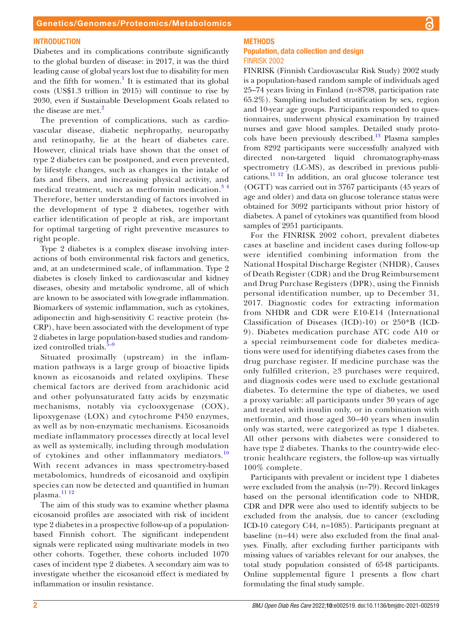#### **INTRODUCTION**

Diabetes and its complications contribute significantly to the global burden of disease: in 2017, it was the third leading cause of global years lost due to disability for men and the fifth for women.<sup>[1](#page-8-0)</sup> It is estimated that its global costs (US\$1.3 trillion in 2015) will continue to rise by 2030, even if Sustainable Development Goals related to the disease are met.<sup>[2](#page-8-1)</sup>

The prevention of complications, such as cardiovascular disease, diabetic nephropathy, neuropathy and retinopathy, lie at the heart of diabetes care. However, clinical trials have shown that the onset of type 2 diabetes can be postponed, and even prevented, by lifestyle changes, such as changes in the intake of fats and fibers, and increasing physical activity, and medical treatment, such as metformin medication.<sup>34</sup> Therefore, better understanding of factors involved in the development of type 2 diabetes, together with earlier identification of people at risk, are important for optimal targeting of right preventive measures to right people.

Type 2 diabetes is a complex disease involving interactions of both environmental risk factors and genetics, and, at an undetermined scale, of inflammation. Type 2 diabetes is closely linked to cardiovascular and kidney diseases, obesity and metabolic syndrome, all of which are known to be associated with low-grade inflammation. Biomarkers of systemic inflammation, such as cytokines, adiponectin and high-sensitivity C reactive protein (hs-CRP), have been associated with the development of type 2 diabetes in large population-based studies and randomized controlled trials. $5-9$ 

Situated proximally (upstream) in the inflammation pathways is a large group of bioactive lipids known as eicosanoids and related oxylipins. These chemical factors are derived from arachidonic acid and other polyunsaturated fatty acids by enzymatic mechanisms, notably via cyclooxygenase (COX), lipoxygenase (LOX) and cytochrome P450 enzymes, as well as by non-enzymatic mechanisms. Eicosanoids mediate inflammatory processes directly at local level as well as systemically, including through modulation of cytokines and other inflammatory mediators.<sup>[10](#page-8-4)</sup> With recent advances in mass spectrometry-based metabolomics, hundreds of eicosanoid and oxylipin species can now be detected and quantified in human plasma. $^{11}$ <sup>12</sup>

The aim of this study was to examine whether plasma eicosanoid profiles are associated with risk of incident type 2 diabetes in a prospective follow-up of a populationbased Finnish cohort. The significant independent signals were replicated using multivariate models in two other cohorts. Together, these cohorts included 1070 cases of incident type 2 diabetes. A secondary aim was to investigate whether the eicosanoid effect is mediated by inflammation or insulin resistance.

## **METHODS**

#### Population, data collection and design FINRISK 2002

FINRISK (Finnish Cardiovascular Risk Study) 2002 study is a population-based random sample of individuals aged 25–74 years living in Finland (n=8798, participation rate 65.2%). Sampling included stratification by sex, region and 10-year age groups. Participants responded to questionnaires, underwent physical examination by trained nurses and gave blood samples. Detailed study protocols have been previously described.[13](#page-8-6) Plasma samples from 8292 participants were successfully analyzed with directed non-targeted liquid chromatography-mass spectrometry (LC-MS), as described in previous publications.<sup>11 12</sup> In addition, an oral glucose tolerance test (OGTT) was carried out in 3767 participants (45 years of age and older) and data on glucose tolerance status were obtained for 3092 participants without prior history of diabetes. A panel of cytokines was quantified from blood samples of 2951 participants.

For the FINRISK 2002 cohort, prevalent diabetes cases at baseline and incident cases during follow-up were identified combining information from the National Hospital Discharge Register (NHDR), Causes of Death Register (CDR) and the Drug Reimbursement and Drug Purchase Registers (DPR), using the Finnish personal identification number, up to December 31, 2017. Diagnostic codes for extracting information from NHDR and CDR were E10-E14 (International Classification of Diseases (ICD)-10) or 250\*B (ICD-9). Diabetes medication purchase ATC code A10 or a special reimbursement code for diabetes medications were used for identifying diabetes cases from the drug purchase register. If medicine purchase was the only fulfilled criterion, ≥3 purchases were required, and diagnosis codes were used to exclude gestational diabetes. To determine the type of diabetes, we used a proxy variable: all participants under 30 years of age and treated with insulin only, or in combination with metformin, and those aged 30–40 years when insulin only was started, were categorized as type 1 diabetes. All other persons with diabetes were considered to have type 2 diabetes. Thanks to the country-wide electronic healthcare registers, the follow-up was virtually 100% complete.

Participants with prevalent or incident type 1 diabetes were excluded from the analysis (n=79). Record linkages based on the personal identification code to NHDR, CDR and DPR were also used to identify subjects to be excluded from the analysis, due to cancer (excluding ICD-10 category C44, n=1085). Participants pregnant at baseline (n=44) were also excluded from the final analyses. Finally, after excluding further participants with missing values of variables relevant for our analyses, the total study population consisted of 6548 participants. [Online supplemental figure 1](https://dx.doi.org/10.1136/bmjdrc-2021-002519) presents a flow chart formulating the final study sample.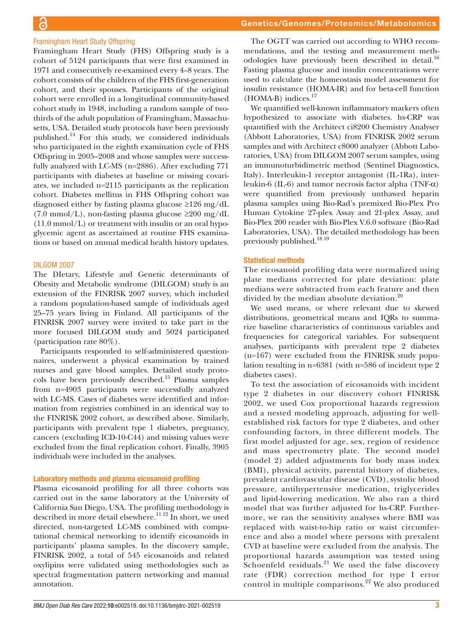Framingham Heart Study (FHS) Offspring study is a cohort of 5124 participants that were first examined in 1971 and consecutively re-examined every 4–8 years. The cohort consists of the children of the FHS first-generation cohort, and their spouses. Participants of the original cohort were enrolled in a longitudinal community-based cohort study in 1948, including a random sample of twothirds of the adult population of Framingham, Massachusetts, USA. Detailed study protocols have been previously published.[14](#page-8-7) For this study, we considered individuals who participated in the eighth examination cycle of FHS Offspring in 2005–2008 and whose samples were successfully analyzed with LC-MS (n=2886). After excluding 771 participants with diabetes at baseline or missing covariates, we included n=2115 participants as the replication cohort. Diabetes mellitus in FHS Offspring cohort was diagnosed either by fasting plasma glucose ≥126 mg/dL (7.0 mmol/L), non-fasting plasma glucose ≥200 mg/dL (11.0 mmol/L) or treatment with insulin or an oral hypoglycemic agent as ascertained at routine FHS examinations or based on annual medical health history updates.

#### DILGOM 2007

The DIetary, Lifestyle and Genetic determinants of Obesity and Metabolic syndrome (DILGOM) study is an extension of the FINRISK 2007 survey, which included a random population-based sample of individuals aged 25–75 years living in Finland. All participants of the FINRISK 2007 survey were invited to take part in the more focused DILGOM study and 5024 participated (participation rate 80%).

Participants responded to self-administered questionnaires, underwent a physical examination by trained nurses and gave blood samples. Detailed study proto-cols have been previously described.<sup>[15](#page-8-8)</sup> Plasma samples from n=4903 participants were successfully analyzed with LC-MS. Cases of diabetes were identified and information from registries combined in an identical way to the FINRISK 2002 cohort, as described above. Similarly, participants with prevalent type 1 diabetes, pregnancy, cancers (excluding ICD-10-C44) and missing values were excluded from the final replication cohort. Finally, 3905 individuals were included in the analyses.

#### Laboratory methods and plasma eicosanoid profiling

Plasma eicosanoid profiling for all three cohorts was carried out in the same laboratory at the University of California San Diego, USA. The profiling methodology is described in more detail elsewhere.<sup>11 12</sup> In short, we used directed, non-targeted LC-MS combined with computational chemical networking to identify eicosanoids in participants' plasma samples. In the discovery sample, FINRISK 2002, a total of 545 eicosanoids and related oxylipins were validated using methodologies such as spectral fragmentation pattern networking and manual annotation.

The OGTT was carried out according to WHO recommendations, and the testing and measurement meth-odologies have previously been described in detail.<sup>[16](#page-8-9)</sup> Fasting plasma glucose and insulin concentrations were used to calculate the homeostasis model assessment for insulin resistance (HOMA-IR) and for beta-cell function  $(HOMA-B)$  indices.<sup>[17](#page-8-10)</sup>

We quantified well-known inflammatory markers often hypothesized to associate with diabetes. hs-CRP was quantified with the Architect ci8200 Chemistry Analyser (Abbott Laboratories, USA) from FINRISK 2002 serum samples and with Architect c8000 analyzer (Abbott Laboratories, USA) from DILGOM 2007 serum samples, using an immunoturbidimetric method (Sentinel Diagnostics, Italy). Interleukin-1 receptor antagonist (IL-1Ra), interleukin-6 (IL-6) and tumor necrosis factor alpha (TNF- $\alpha$ ) were quantified from previously unthawed heparin plasma samples using Bio-Rad's premixed Bio-Plex Pro Human Cytokine 27-plex Assay and 21-plex Assay, and Bio-Plex 200 reader with Bio-Plex V.6.0 software (Bio-Rad Laboratories, USA). The detailed methodology has been previously published.<sup>[18 19](#page-8-11)</sup>

#### Statistical methods

The eicosanoid profiling data were normalized using plate medians corrected for plate deviation: plate medians were subtracted from each feature and then divided by the median absolute deviation.<sup>[20](#page-8-12)</sup>

We used means, or where relevant due to skewed distributions, geometrical means and IQRs to summarize baseline characteristics of continuous variables and frequencies for categorical variables. For subsequent analyses, participants with prevalent type 2 diabetes (n=167) were excluded from the FINRISK study population resulting in n=6381 (with n=586 of incident type 2 diabetes cases).

To test the association of eicosanoids with incident type 2 diabetes in our discovery cohort FINRISK 2002, we used Cox proportional hazards regression and a nested modeling approach, adjusting for wellestablished risk factors for type 2 diabetes, and other confounding factors, in three different models. The first model adjusted for age, sex, region of residence and mass spectrometry plate. The second model (model 2) added adjustments for body mass index (BMI), physical activity, parental history of diabetes, prevalent cardiovascular disease (CVD), systolic blood pressure, antihypertensive medication, triglycerides and lipid-lowering medication. We also ran a third model that was further adjusted for hs-CRP. Furthermore, we ran the sensitivity analyses where BMI was replaced with waist-to-hip ratio or waist circumference and also a model where persons with prevalent CVD at baseline were excluded from the analysis. The proportional hazards assumption was tested using Schoenfeld residuals. $^{21}$  $^{21}$  $^{21}$  We used the false discovery rate (FDR) correction method for type I error control in multiple comparisons.<sup>[22](#page-8-14)</sup> We also produced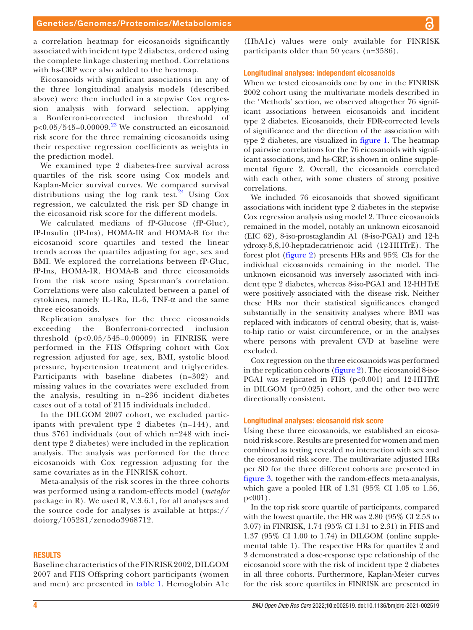a correlation heatmap for eicosanoids significantly associated with incident type 2 diabetes, ordered using the complete linkage clustering method. Correlations with hs-CRP were also added to the heatmap.

Eicosanoids with significant associations in any of the three longitudinal analysis models (described above) were then included in a stepwise Cox regression analysis with forward selection, applying a Bonferroni-corrected inclusion threshold of  $p<0.05/545=0.00009$ .<sup>[23](#page-8-15)</sup> We constructed an eicosanoid risk score for the three remaining eicosanoids using their respective regression coefficients as weights in the prediction model.

We examined type 2 diabetes-free survival across quartiles of the risk score using Cox models and Kaplan-Meier survival curves. We compared survival distributions using the log rank test.<sup>24</sup> Using Cox regression, we calculated the risk per SD change in the eicosanoid risk score for the different models.

We calculated medians of fP-Glucose (fP-Gluc), fP-Insulin (fP-Ins), HOMA-IR and HOMA-B for the eicosanoid score quartiles and tested the linear trends across the quartiles adjusting for age, sex and BMI. We explored the correlations between fP-Gluc, fP-Ins, HOMA-IR, HOMA-B and three eicosanoids from the risk score using Spearman's correlation. Correlations were also calculated between a panel of cytokines, namely IL-1Ra, IL-6,  $TNF-\alpha$  and the same three eicosanoids.

Replication analyses for the three eicosanoids exceeding the Bonferroni-corrected inclusion threshold (p<0.05/545=0.00009) in FINRISK were performed in the FHS Offspring cohort with Cox regression adjusted for age, sex, BMI, systolic blood pressure, hypertension treatment and triglycerides. Participants with baseline diabetes (n=302) and missing values in the covariates were excluded from the analysis, resulting in n=236 incident diabetes cases out of a total of 2115 individuals included.

In the DILGOM 2007 cohort, we excluded participants with prevalent type 2 diabetes (n=144), and thus 3761 individuals (out of which n=248 with incident type 2 diabetes) were included in the replication analysis. The analysis was performed for the three eicosanoids with Cox regression adjusting for the same covariates as in the FINRISK cohort.

Meta-analysis of the risk scores in the three cohorts was performed using a random-effects model (*metafor* package in R). We used R, V.3.6.1, for all analyses and the source code for analyses is available at [https://](https://doiorg/105281/zenodo3968712) [doiorg/105281/zenodo3968712](https://doiorg/105281/zenodo3968712).

#### RESULTS

Baseline characteristics of the FINRISK 2002, DILGOM 2007 and FHS Offspring cohort participants (women and men) are presented in [table](#page-4-0) 1. Hemoglobin A1c

(HbA1c) values were only available for FINRISK participants older than 50 years (n=3586).

#### Longitudinal analyses: independent eicosanoids

When we tested eicosanoids one by one in the FINRISK 2002 cohort using the multivariate models described in the 'Methods' section, we observed altogether 76 significant associations between eicosanoids and incident type 2 diabetes. Eicosanoids, their FDR-corrected levels of significance and the direction of the association with type 2 diabetes, are visualized in [figure](#page-5-0) 1. The heatmap of pairwise correlations for the 76 eicosanoids with significant associations, and hs-CRP, is shown in [online supple](https://dx.doi.org/10.1136/bmjdrc-2021-002519)[mental figure 2](https://dx.doi.org/10.1136/bmjdrc-2021-002519). Overall, the eicosanoids correlated with each other, with some clusters of strong positive correlations.

We included 76 eicosanoids that showed significant associations with incident type 2 diabetes in the stepwise Cox regression analysis using model 2. Three eicosanoids remained in the model, notably an unknown eicosanoid (EIC 62), 8-iso-prostaglandin A1 (8-iso-PGA1) and 12-h ydroxy-5,8,10-heptadecatrienoic acid (12-HHTrE). The forest plot ([figure](#page-5-1) 2) presents HRs and 95% CIs for the individual eicosanoids remaining in the model. The unknown eicosanoid was inversely associated with incident type 2 diabetes, whereas 8-iso-PGA1 and 12-HHTrE were positively associated with the disease risk. Neither these HRs nor their statistical significances changed substantially in the sensitivity analyses where BMI was replaced with indicators of central obesity, that is, waistto-hip ratio or waist circumference, or in the analyses where persons with prevalent CVD at baseline were excluded.

Cox regression on the three eicosanoids was performed in the replication cohorts ([figure](#page-5-1) 2). The eicosanoid 8-iso-PGA1 was replicated in FHS (p<0.001) and 12-HHTrE in DILGOM (p=0.025) cohort, and the other two were directionally consistent.

#### Longitudinal analyses: eicosanoid risk score

Using these three eicosanoids, we established an eicosanoid risk score. Results are presented for women and men combined as testing revealed no interaction with sex and the eicosanoid risk score. The multivariate adjusted HRs per SD for the three different cohorts are presented in [figure](#page-5-2) 3, together with the random-effects meta-analysis, which gave a pooled HR of 1.31 (95% CI 1.05 to 1.56,  $p < 001$ ).

In the top risk score quartile of participants, compared with the lowest quartile, the HR was 2.80 (95% CI 2.53 to 3.07) in FINRISK, 1.74 (95% CI 1.31 to 2.31) in FHS and 1.37 (95% CI 1.00 to 1.74) in DILGOM ([online supple](https://dx.doi.org/10.1136/bmjdrc-2021-002519)[mental table 1\)](https://dx.doi.org/10.1136/bmjdrc-2021-002519). The respective HRs for quartiles 2 and 3 demonstrated a dose-response type relationship of the eicosanoid score with the risk of incident type 2 diabetes in all three cohorts. Furthermore, Kaplan-Meier curves for the risk score quartiles in FINRISK are presented in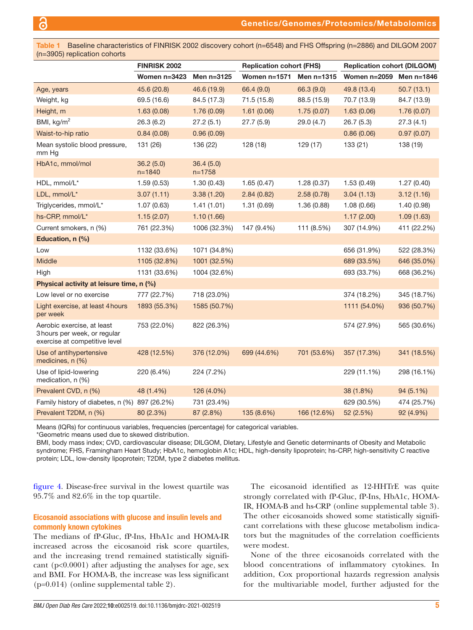<span id="page-4-0"></span>Table 1 Baseline characteristics of FINRISK 2002 discovery cohort (n=6548) and FHS Offspring (n=2886) and DILGOM 2007 (n=3905) replication cohorts

|                                                                                             | <b>FINRISK 2002</b>     |                         | <b>Replication cohort (FHS)</b> |             | <b>Replication cohort (DILGOM)</b> |             |  |
|---------------------------------------------------------------------------------------------|-------------------------|-------------------------|---------------------------------|-------------|------------------------------------|-------------|--|
|                                                                                             | Women $n=3423$          | Men n=3125              | Women $n=1571$                  | Men n=1315  | Women n=2059 Men n=1846            |             |  |
| Age, years                                                                                  | 45.6 (20.8)             | 46.6 (19.9)             | 66.4 (9.0)                      | 66.3 (9.0)  | 49.8 (13.4)                        | 50.7(13.1)  |  |
| Weight, kg                                                                                  | 69.5 (16.6)             | 84.5 (17.3)             | 71.5 (15.8)                     | 88.5 (15.9) | 70.7 (13.9)                        | 84.7 (13.9) |  |
| Height, m                                                                                   | 1.63(0.08)              | 1.76(0.09)              | 1.61(0.06)                      | 1.75(0.07)  | 1.63(0.06)                         | 1.76(0.07)  |  |
| BMI, $\text{kg/m}^2$                                                                        | 26.3(6.2)               | 27.2(5.1)               | 27.7(5.9)                       | 29.0 (4.7)  | 26.7(5.3)                          | 27.3(4.1)   |  |
| Waist-to-hip ratio                                                                          | 0.84(0.08)              | 0.96(0.09)              |                                 |             | 0.86(0.06)                         | 0.97(0.07)  |  |
| Mean systolic blood pressure,<br>mm Hg                                                      | 131 (26)                | 136 (22)                | 128 (18)                        | 129 (17)    | 133 (21)                           | 138 (19)    |  |
| HbA1c, mmol/mol                                                                             | 36.2(5.0)<br>$n = 1840$ | 36.4(5.0)<br>$n = 1758$ |                                 |             |                                    |             |  |
| HDL, mmol/L*                                                                                | 1.59(0.53)              | 1.30(0.43)              | 1.65(0.47)                      | 1.28(0.37)  | 1.53(0.49)                         | 1.27(0.40)  |  |
| LDL, mmol/L*                                                                                | 3.07(1.11)              | 3.38(1.20)              | 2.84(0.82)                      | 2.58(0.78)  | 3.04(1.13)                         | 3.12(1.16)  |  |
| Triglycerides, mmol/L*                                                                      | 1.07(0.63)              | 1.41(1.01)              | 1.31(0.69)                      | 1.36(0.88)  | 1.08(0.66)                         | 1.40(0.98)  |  |
| hs-CRP, mmol/L*                                                                             | 1.15(2.07)              | 1.10(1.66)              |                                 |             | 1.17(2.00)                         | 1.09(1.63)  |  |
| Current smokers, n (%)                                                                      | 761 (22.3%)             | 1006 (32.3%)            | 147 (9.4%)                      | 111 (8.5%)  | 307 (14.9%)                        | 411 (22.2%) |  |
| Education, n (%)                                                                            |                         |                         |                                 |             |                                    |             |  |
| Low                                                                                         | 1132 (33.6%)            | 1071 (34.8%)            |                                 |             | 656 (31.9%)                        | 522 (28.3%) |  |
| Middle                                                                                      | 1105 (32.8%)            | 1001 (32.5%)            |                                 |             | 689 (33.5%)                        | 646 (35.0%) |  |
| High                                                                                        | 1131 (33.6%)            | 1004 (32.6%)            |                                 |             | 693 (33.7%)                        | 668 (36.2%) |  |
| Physical activity at leisure time, n (%)                                                    |                         |                         |                                 |             |                                    |             |  |
| Low level or no exercise                                                                    | 777 (22.7%)             | 718 (23.0%)             |                                 |             | 374 (18.2%)                        | 345 (18.7%) |  |
| Light exercise, at least 4 hours<br>per week                                                | 1893 (55.3%)            | 1585 (50.7%)            |                                 |             | 1111 (54.0%)                       | 936 (50.7%) |  |
| Aerobic exercise, at least<br>3 hours per week, or regular<br>exercise at competitive level | 753 (22.0%)             | 822 (26.3%)             |                                 |             | 574 (27.9%)                        | 565 (30.6%) |  |
| Use of antihypertensive<br>medicines, n (%)                                                 | 428 (12.5%)             | 376 (12.0%)             | 699 (44.6%)                     | 701 (53.6%) | 357 (17.3%)                        | 341 (18.5%) |  |
| Use of lipid-lowering<br>medication, n (%)                                                  | 220 (6.4%)              | 224 (7.2%)              |                                 |             | 229 (11.1%)                        | 298 (16.1%) |  |
| Prevalent CVD, n (%)                                                                        | 48 (1.4%)               | 126 (4.0%)              |                                 |             | 38 (1.8%)                          | 94 (5.1%)   |  |
| Family history of diabetes, n (%) 897 (26.2%)                                               |                         | 731 (23.4%)             |                                 |             | 629 (30.5%)                        | 474 (25.7%) |  |
| Prevalent T2DM, n (%)                                                                       | 80 (2.3%)               | 87 (2.8%)               | 135 (8.6%)                      | 166 (12.6%) | 52 (2.5%)                          | 92 (4.9%)   |  |

Means (IQRs) for continuous variables, frequencies (percentage) for categorical variables.

\*Geometric means used due to skewed distribution.

BMI, body mass index; CVD, cardiovascular disease; DILGOM, DIetary, Lifestyle and Genetic determinants of Obesity and Metabolic syndrome; FHS, Framingham Heart Study; HbA1c, hemoglobin A1c; HDL, high-density lipoprotein; hs-CRP, high-sensitivity C reactive protein; LDL, low-density lipoprotein; T2DM, type 2 diabetes mellitus.

[figure](#page-5-3) 4. Disease-free survival in the lowest quartile was 95.7% and 82.6% in the top quartile.

#### Eicosanoid associations with glucose and insulin levels and commonly known cytokines

The medians of fP-Gluc, fP-Ins, HbA1c and HOMA-IR increased across the eicosanoid risk score quartiles, and the increasing trend remained statistically significant ( $p<0.0001$ ) after adjusting the analyses for age, sex and BMI. For HOMA-B, the increase was less significant (p=0.014) [\(online supplemental table 2\)](https://dx.doi.org/10.1136/bmjdrc-2021-002519).

The eicosanoid identified as 12-HHTrE was quite strongly correlated with fP-Gluc, fP-Ins, HbA1c, HOMA-IR, HOMA-B and hs-CRP ([online supplemental table 3](https://dx.doi.org/10.1136/bmjdrc-2021-002519)). The other eicosanoids showed some statistically significant correlations with these glucose metabolism indicators but the magnitudes of the correlation coefficients were modest.

None of the three eicosanoids correlated with the blood concentrations of inflammatory cytokines. In addition, Cox proportional hazards regression analysis for the multivariable model, further adjusted for the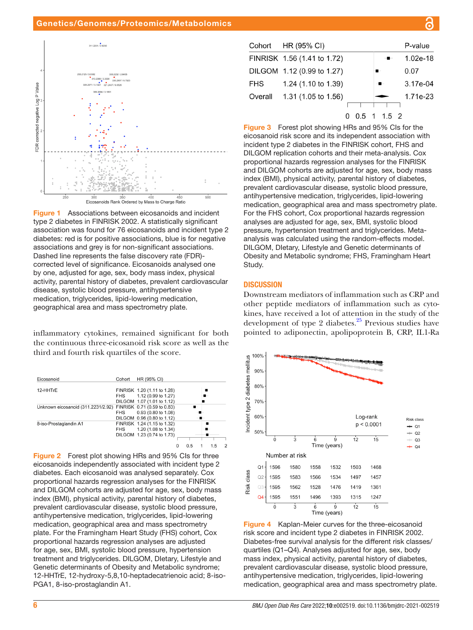#### Genetics/Genomes/Proteomics/Metabolomics



<span id="page-5-0"></span>Figure 1 Associations between eicosanoids and incident type 2 diabetes in FINRISK 2002. A statistically significant association was found for 76 eicosanoids and incident type 2 diabetes: red is for positive associations, blue is for negative associations and grey is for non-significant associations. Dashed line represents the false discovery rate (FDR) corrected level of significance. Eicosanoids analysed one by one, adjusted for age, sex, body mass index, physical activity, parental history of diabetes, prevalent cardiovascular disease, systolic blood pressure, antihypertensive medication, triglycerides, lipid-lowering medication, geographical area and mass spectrometry plate.

inflammatory cytokines, remained significant for both the continuous three-eicosanoid risk score as well as the third and fourth risk quartiles of the score.

| Eicosanoid                         | Cohort     | HR (95% CI)                 |     |  |  |
|------------------------------------|------------|-----------------------------|-----|--|--|
| 12-HHTrE                           |            | FINRISK 1.20 (1.11 to 1.28) |     |  |  |
|                                    | <b>FHS</b> | 1.12 (0.99 to 1.27)         |     |  |  |
|                                    |            | DILGOM 1.07 (1.01 to 1.12)  |     |  |  |
| Unknown eicosanoid (311.2231/2.92) |            | FINRISK 0.71 (0.59 to 0.83) |     |  |  |
|                                    | <b>FHS</b> | 0.93 (0.80 to 1.08)         |     |  |  |
|                                    |            | DILGOM 0.96 (0.80 to 1.12)  |     |  |  |
| 8-iso-Prostaglandin A1             |            | FINRISK 1.24 (1.15 to 1.32) |     |  |  |
|                                    | FHS        | 1.20 (1.08 to 1.34)         |     |  |  |
|                                    |            | DILGOM 1.23 (0.74 to 1.73)  |     |  |  |
|                                    |            |                             |     |  |  |
|                                    |            |                             | 0.5 |  |  |

<span id="page-5-1"></span>Figure 2 Forest plot showing HRs and 95% CIs for three eicosanoids independently associated with incident type 2 diabetes. Each eicosanoid was analysed separately. Cox proportional hazards regression analyses for the FINRISK and DILGOM cohorts are adjusted for age, sex, body mass index (BMI), physical activity, parental history of diabetes, prevalent cardiovascular disease, systolic blood pressure, antihypertensive medication, triglycerides, lipid-lowering medication, geographical area and mass spectrometry plate. For the Framingham Heart Study (FHS) cohort, Cox proportional hazards regression analyses are adjusted for age, sex, BMI, systolic blood pressure, hypertension treatment and triglycerides. DILGOM, DIetary, Lifestyle and Genetic determinants of Obesity and Metabolic syndrome; 12-HHTrE, 12-hydroxy-5,8,10-heptadecatrienoic acid; 8-iso-PGA1, 8-iso-prostaglandin A1.

| Cohort     | HR (95% CI)                    |  |                     | P-value    |
|------------|--------------------------------|--|---------------------|------------|
|            | FINRISK 1.56 (1.41 to 1.72)    |  |                     | $1.02e-18$ |
|            | DILGOM 1.12 (0.99 to 1.27)     |  |                     | 0.07       |
| <b>FHS</b> | 1.24 (1.10 to 1.39)            |  | $-$                 | 3.17e-04   |
| Overall    | 1.31 $(1.05 \text{ to } 1.56)$ |  |                     | 1.71e-23   |
|            |                                |  |                     |            |
|            |                                |  | $0.5 \t1 \t1.5 \t2$ |            |

<span id="page-5-2"></span>Figure 3 Forest plot showing HRs and 95% CIs for the eicosanoid risk score and its independent association with incident type 2 diabetes in the FINRISK cohort, FHS and DILGOM replication cohorts and their meta-analysis. Cox proportional hazards regression analyses for the FINRISK and DILGOM cohorts are adjusted for age, sex, body mass index (BMI), physical activity, parental history of diabetes, prevalent cardiovascular disease, systolic blood pressure, antihypertensive medication, triglycerides, lipid-lowering medication, geographical area and mass spectrometry plate. For the FHS cohort, Cox proportional hazards regression analyses are adjusted for age, sex, BMI, systolic blood pressure, hypertension treatment and triglycerides. Metaanalysis was calculated using the random-effects model. DILGOM, DIetary, Lifestyle and Genetic determinants of Obesity and Metabolic syndrome; FHS, Framingham Heart Study.

#### **DISCUSSION**

Downstream mediators of inflammation such as CRP and other peptide mediators of inflammation such as cytokines, have received a lot of attention in the study of the development of type 2 diabetes. $25$  Previous studies have pointed to adiponectin, apolipoprotein B, CRP, IL1-Ra



<span id="page-5-3"></span>Figure 4 Kaplan-Meier curves for the three-eicosanoid risk score and incident type 2 diabetes in FINRISK 2002. Diabetes-free survival analysis for the different risk classes/ quartiles (Q1–Q4). Analyses adjusted for age, sex, body mass index, physical activity, parental history of diabetes, prevalent cardiovascular disease, systolic blood pressure, antihypertensive medication, triglycerides, lipid-lowering medication, geographical area and mass spectrometry plate.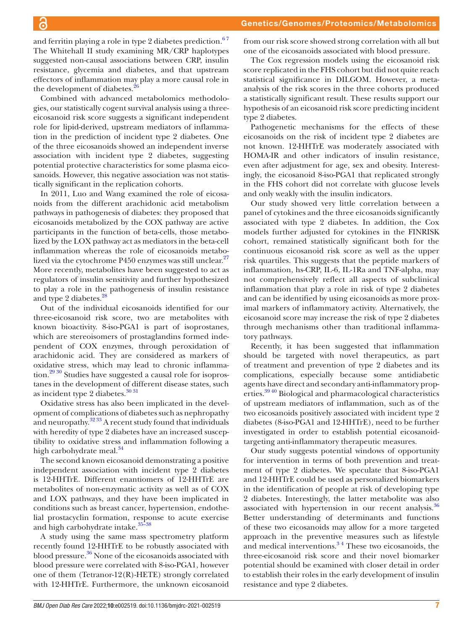and ferritin playing a role in type 2 diabetes prediction. $67$ The Whitehall II study examining MR/CRP haplotypes suggested non-causal associations between CRP, insulin resistance, glycemia and diabetes, and that upstream effectors of inflammation may play a more causal role in the development of diabetes.<sup>2</sup>

 $\overline{\mathbf{c}}$ 

Combined with advanced metabolomics methodologies, our statistically cogent survival analysis using a threeeicosanoid risk score suggests a significant independent role for lipid-derived, upstream mediators of inflammation in the prediction of incident type 2 diabetes. One of the three eicosanoids showed an independent inverse association with incident type 2 diabetes, suggesting potential protective characteristics for some plasma eicosanoids. However, this negative association was not statistically significant in the replication cohorts.

In 2011, Luo and Wang examined the role of eicosanoids from the different arachidonic acid metabolism pathways in pathogenesis of diabetes: they proposed that eicosanoids metabolized by the COX pathway are active participants in the function of beta-cells, those metabolized by the LOX pathway act as mediators in the beta-cell inflammation whereas the role of eicosanoids metabo-lized via the cytochrome P450 enzymes was still unclear.<sup>[27](#page-8-20)</sup> More recently, metabolites have been suggested to act as regulators of insulin sensitivity and further hypothesized to play a role in the pathogenesis of insulin resistance and type 2 diabetes.<sup>[28](#page-8-21)</sup>

Out of the individual eicosanoids identified for our three-eicosanoid risk score, two are metabolites with known bioactivity. 8-iso-PGA1 is part of isoprostanes, which are stereoisomers of prostaglandins formed independent of COX enzymes, through peroxidation of arachidonic acid. They are considered as markers of oxidative stress, which may lead to chronic inflammation.<sup>29 30</sup> Studies have suggested a causal role for isoprostanes in the development of different disease states, such as incident type 2 diabetes.<sup>[30 31](#page-8-23)</sup>

Oxidative stress has also been implicated in the development of complications of diabetes such as nephropathy and neuropathy.[32 33](#page-8-24) A recent study found that individuals with heredity of type 2 diabetes have an increased susceptibility to oxidative stress and inflammation following a high carbohydrate meal.<sup>[34](#page-8-25)</sup>

The second known eicosanoid demonstrating a positive independent association with incident type 2 diabetes is 12-HHTrE. Different enantiomers of 12-HHTrE are metabolites of non-enzymatic activity as well as of COX and LOX pathways, and they have been implicated in conditions such as breast cancer, hypertension, endothelial prostacyclin formation, response to acute exercise and high carbohydrate intake.<sup>35-38</sup>

A study using the same mass spectrometry platform recently found 12-HHTrE to be robustly associated with blood pressure.<sup>36</sup> None of the eicosanoids associated with blood pressure were correlated with 8-iso-PGA1, however one of them (Tetranor-12(R)-HETE) strongly correlated with 12-HHTrE. Furthermore, the unknown eicosanoid from our risk score showed strong correlation with all but one of the eicosanoids associated with blood pressure.

The Cox regression models using the eicosanoid risk score replicated in the FHS cohort but did not quite reach statistical significance in DILGOM. However, a metaanalysis of the risk scores in the three cohorts produced a statistically significant result. These results support our hypothesis of an eicosanoid risk score predicting incident type 2 diabetes.

Pathogenetic mechanisms for the effects of these eicosanoids on the risk of incident type 2 diabetes are not known. 12-HHTrE was moderately associated with HOMA-IR and other indicators of insulin resistance, even after adjustment for age, sex and obesity. Interestingly, the eicosanoid 8-iso-PGA1 that replicated strongly in the FHS cohort did not correlate with glucose levels and only weakly with the insulin indicators.

Our study showed very little correlation between a panel of cytokines and the three eicosanoids significantly associated with type 2 diabetes. In addition, the Cox models further adjusted for cytokines in the FINRISK cohort, remained statistically significant both for the continuous eicosanoid risk score as well as the upper risk quartiles. This suggests that the peptide markers of inflammation, hs-CRP, IL-6, IL-1Ra and TNF-alpha, may not comprehensively reflect all aspects of subclinical inflammation that play a role in risk of type 2 diabetes and can be identified by using eicosanoids as more proximal markers of inflammatory activity. Alternatively, the eicosanoid score may increase the risk of type 2 diabetes through mechanisms other than traditional inflammatory pathways.

Recently, it has been suggested that inflammation should be targeted with novel therapeutics, as part of treatment and prevention of type 2 diabetes and its complications, especially because some antidiabetic agents have direct and secondary anti-inflammatory properties[.39 40](#page-8-28) Biological and pharmacological characteristics of upstream mediators of inflammation, such as of the two eicosanoids positively associated with incident type 2 diabetes (8-iso-PGA1 and 12-HHTrE), need to be further investigated in order to establish potential eicosanoidtargeting anti-inflammatory therapeutic measures.

Our study suggests potential windows of opportunity for intervention in terms of both prevention and treatment of type 2 diabetes. We speculate that 8-iso-PGA1 and 12-HHTrE could be used as personalized biomarkers in the identification of people at risk of developing type 2 diabetes. Interestingly, the latter metabolite was also associated with hypertension in our recent analysis. $36$ Better understanding of determinants and functions of these two eicosanoids may allow for a more targeted approach in the preventive measures such as lifestyle and medical interventions.<sup>34</sup> These two eicosanoids, the three-eicosanoid risk score and their novel biomarker potential should be examined with closer detail in order to establish their roles in the early development of insulin resistance and type 2 diabetes.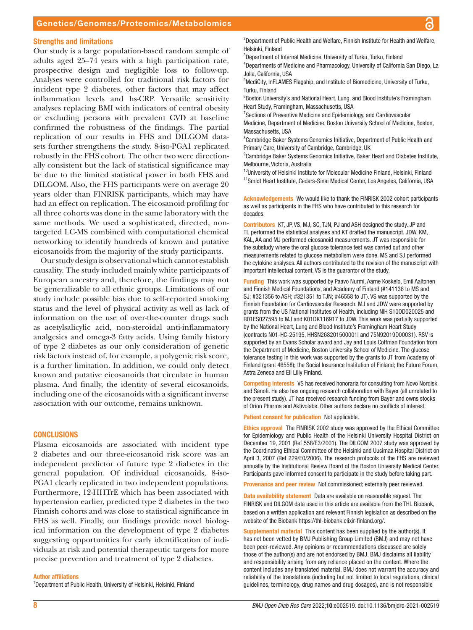#### Genetics/Genomes/Proteomics/Metabolomics

#### Strengths and limitations

Our study is a large population-based random sample of adults aged 25–74 years with a high participation rate, prospective design and negligible loss to follow-up. Analyses were controlled for traditional risk factors for incident type 2 diabetes, other factors that may affect inflammation levels and hs-CRP. Versatile sensitivity analyses replacing BMI with indicators of central obesity or excluding persons with prevalent CVD at baseline confirmed the robustness of the findings. The partial replication of our results in FHS and DILGOM datasets further strengthens the study. 8-iso-PGA1 replicated robustly in the FHS cohort. The other two were directionally consistent but the lack of statistical significance may be due to the limited statistical power in both FHS and DILGOM. Also, the FHS participants were on average 20 years older than FINRISK participants, which may have had an effect on replication. The eicosanoid profiling for all three cohorts was done in the same laboratory with the same methods. We used a sophisticated, directed, nontargeted LC-MS combined with computational chemical networking to identify hundreds of known and putative eicosanoids from the majority of the study participants.

Our study design is observational which cannot establish causality. The study included mainly white participants of European ancestry and, therefore, the findings may not be generalizable to all ethnic groups. Limitations of our study include possible bias due to self-reported smoking status and the level of physical activity as well as lack of information on the use of over-the-counter drugs such as acetylsalicylic acid, non-steroidal anti-inflammatory analgesics and omega-3 fatty acids. Using family history of type 2 diabetes as our only consideration of genetic risk factors instead of, for example, a polygenic risk score, is a further limitation. In addition, we could only detect known and putative eicosanoids that circulate in human plasma. And finally, the identity of several eicosanoids, including one of the eicosanoids with a significant inverse association with our outcome, remains unknown.

#### **CONCLUSIONS**

Plasma eicosanoids are associated with incident type 2 diabetes and our three-eicosanoid risk score was an independent predictor of future type 2 diabetes in the general population. Of individual eicosanoids, 8-iso-PGA1 clearly replicated in two independent populations. Furthermore, 12-HHTrE which has been associated with hypertension earlier, predicted type 2 diabetes in the two Finnish cohorts and was close to statistical significance in FHS as well. Finally, our findings provide novel biological information on the development of type 2 diabetes suggesting opportunities for early identification of individuals at risk and potential therapeutic targets for more precise prevention and treatment of type 2 diabetes.

Author affiliations

<sup>1</sup>Department of Public Health, University of Helsinki, Helsinki, Finland

<sup>2</sup>Department of Public Health and Welfare, Finnish Institute for Health and Welfare, Helsinki, Finland

<sup>3</sup>Department of Internal Medicine, University of Turku, Turku, Finland

4 Departments of Medicine and Pharmacology, University of California San Diego, La Jolla, California, USA

<sup>5</sup>MediCity, InFLAMES Flagship, and Institute of Biomedicine, University of Turku, Turku, Finland

<sup>6</sup> Boston University's and National Heart, Lung, and Blood Institute's Framingham Heart Study, Framingham, Massachusetts, USA

<sup>7</sup> Sections of Preventive Medicine and Epidemiology, and Cardiovascular

Medicine, Department of Medicine, Boston University School of Medicine, Boston, Massachusetts, USA

<sup>8</sup> Cambridge Baker Systems Genomics Initiative, Department of Public Health and Primary Care, University of Cambridge, Cambridge, UK

<sup>9</sup> Cambridge Baker Systems Genomics Initiative, Baker Heart and Diabetes Institute, Melbourne, Victoria, Australia

<sup>10</sup>University of Helsinki Institute for Molecular Medicine Finland, Helsinki, Finland <sup>11</sup>Smidt Heart Institute, Cedars-Sinai Medical Center, Los Angeles, California, USA

Acknowledgements We would like to thank the FINRISK 2002 cohort participants as well as participants in the FHS who have contributed to this research for decades.

Contributors KT, JP, VS, MJ, SC, TJN, PJ and ASH designed the study. JP and TL performed the statistical analyses and KT drafted the manuscript. JDW, KM, KAL, AA and MJ performed eicosanoid measurements. JT was responsible for the substudy where the oral glucose tolerance test was carried out and other measurements related to glucose metabolism were done. MS and SJ performed the cytokine analyses. All authors contributed to the revision of the manuscript with important intellectual content. VS is the guarantor of the study.

Funding This work was supported by Paavo Nurmi, Aarne Koskelo, Emil Aaltonen and Finnish Medical Foundations, and Academy of Finland (#141136 to MS and SJ; #321356 to ASH; #321351 to TJN; #46558 to JT). VS was supported by the Finnish Foundation for Cardiovascular Research. MJ and JDW were supported by grants from the US National Institutes of Health, including NIH S10OD020025 and R01ES027595 to MJ and K01DK116917 to JDW. This work was partially supported by the National Heart, Lung and Blood Institute's Framingham Heart Study (contracts N01-HC-25195, HHSN268201500001I and 75N92019D00031). RSV is supported by an Evans Scholar award and Jay and Louis Coffman Foundation from the Department of Medicine, Boston University School of Medicine. The glucose tolerance testing in this work was supported by the grants to JT from Academy of Finland (grant 46558); the Social Insurance Institution of Finland; the Future Forum, Astra Zeneca and Eli Lilly Finland.

Competing interests VS has received honoraria for consulting from Novo Nordisk and Sanofi. He also has ongoing research collaboration with Bayer (all unrelated to the present study). JT has received research funding from Bayer and owns stocks of Orion Pharma and Aktivolabs. Other authors declare no conflicts of interest.

Patient consent for publication Not applicable.

Ethics approval The FINRISK 2002 study was approved by the Ethical Committee for Epidemiology and Public Health of the Helsinki University Hospital District on December 19, 2001 (Ref 558/E3/2001). The DILGOM 2007 study was approved by the Coordinating Ethical Committee of the Helsinki and Uusimaa Hospital District on April 3, 2007 (Ref 229/E0/2006). The research protocols of the FHS are reviewed annually by the Institutional Review Board of the Boston University Medical Center. Participants gave informed consent to participate in the study before taking part.

Provenance and peer review Not commissioned; externally peer reviewed.

Data availability statement Data are available on reasonable request. The FINRISK and DILGOM data used in this article are available from the THL Biobank, based on a written application and relevant Finnish legislation as described on the website of the Biobank<https://thl-biobank.elixir-finland.org/>.

Supplemental material This content has been supplied by the author(s). It has not been vetted by BMJ Publishing Group Limited (BMJ) and may not have been peer-reviewed. Any opinions or recommendations discussed are solely those of the author(s) and are not endorsed by BMJ. BMJ disclaims all liability and responsibility arising from any reliance placed on the content. Where the content includes any translated material, BMJ does not warrant the accuracy and reliability of the translations (including but not limited to local regulations, clinical guidelines, terminology, drug names and drug dosages), and is not responsible